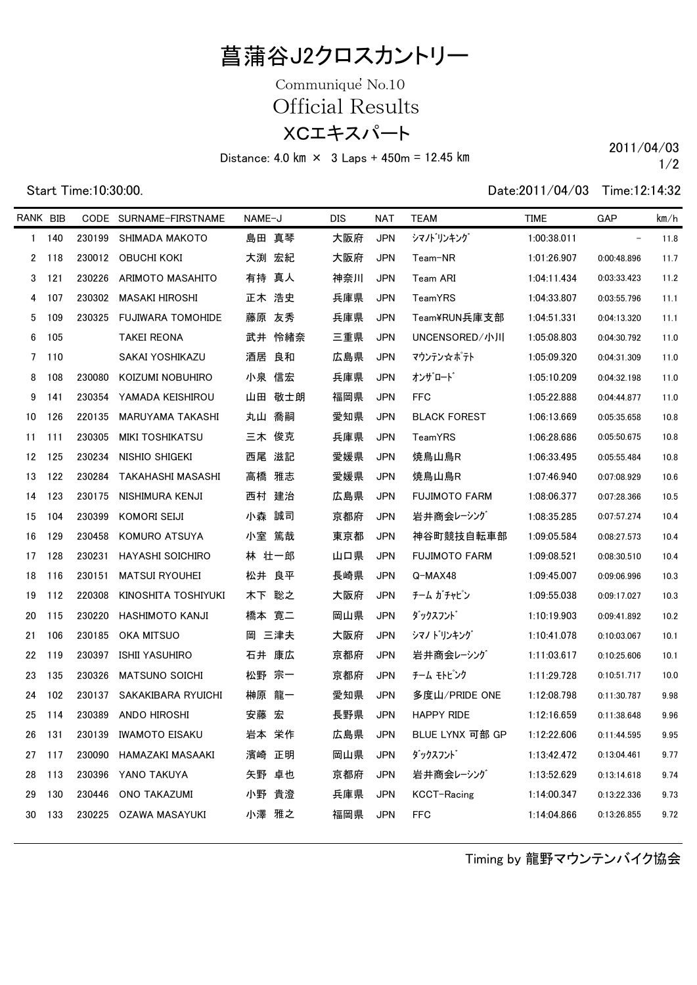## 菖蒲谷J2クロスカントリー

XCエキスパート Communique<sup>'</sup> No.10 Official Results

Distance: 4.0 km  $\times$  3 Laps + 450m = 12.45 km 2011/04/03

Start Time:10:30:00. Date:2011/04/03 Time:12:14:32

1/2

| RANK BIB |        |        | CODE SURNAME-FIRSTNAME  | NAME-J | <b>DIS</b> | NAT        | <b>TEAM</b>          | <b>TIME</b> | GAP                      | km/h |
|----------|--------|--------|-------------------------|--------|------------|------------|----------------------|-------------|--------------------------|------|
|          | 1 140  | 230199 | SHIMADA MAKOTO          | 島田 真琴  | 大阪府        | <b>JPN</b> | シマノトリンキング            | 1:00:38.011 | $\overline{\phantom{a}}$ | 11.8 |
|          | 2 118  |        | 230012 OBUCHI KOKI      | 大渕 宏紀  | 大阪府        | <b>JPN</b> | Team-NR              | 1:01:26.907 | 0:00:48.896              | 11.7 |
| 3        | 121    | 230226 | ARIMOTO MASAHITO        | 有持 真人  | 神奈川        | <b>JPN</b> | Team ARI             | 1:04:11.434 | 0:03:33.423              | 11.2 |
| 4        | 107    |        | 230302 MASAKI HIROSHI   | 正木 浩史  | 兵庫県        | <b>JPN</b> | TeamYRS              | 1:04:33.807 | 0:03:55.796              | 11.1 |
| 5        | 109    | 230325 | FUJIWARA TOMOHIDE       | 藤原 友秀  | 兵庫県        | <b>JPN</b> | Team¥RUN兵庫支部         | 1:04:51.331 | 0:04:13.320              | 11.1 |
| 6        | 105    |        | <b>TAKEI REONA</b>      | 武井 怜緒奈 | 三重県        | <b>JPN</b> | UNCENSORED/小川        | 1:05:08.803 | 0:04:30.792              | 11.0 |
|          | 7 110  |        | SAKAI YOSHIKAZU         | 酒居 良和  | 広島県        | JPN        | マウンテン☆ボテト            | 1:05:09.320 | 0:04:31.309              | 11.0 |
| 8        | 108    | 230080 | KOIZUMI NOBUHIRO        | 小泉 信宏  | 兵庫県        | <b>JPN</b> | オンザロード               | 1:05:10.209 | 0:04:32.198              | 11.0 |
| 9        | 141    |        | 230354 YAMADA KEISHIROU | 山田 敬士朗 | 福岡県        | JPN        | <b>FFC</b>           | 1:05:22.888 | 0:04:44.877              | 11.0 |
| 10       | 126    | 220135 | MARUYAMA TAKASHI        | 丸山 喬嗣  | 愛知県        | <b>JPN</b> | <b>BLACK FOREST</b>  | 1:06:13.669 | 0:05:35.658              | 10.8 |
| 11       | 111    | 230305 | MIKI TOSHIKATSU         | 三木 俊克  | 兵庫県        | <b>JPN</b> | TeamYRS              | 1:06:28.686 | 0:05:50.675              | 10.8 |
| 12 125   |        | 230234 | NISHIO SHIGEKI          | 西尾 滋記  | 愛媛県        | <b>JPN</b> | 焼鳥山鳥R                | 1:06:33.495 | 0:05:55.484              | 10.8 |
|          | 13 122 | 230284 | TAKAHASHI MASASHI       | 高橋 雅志  | 愛媛県        | <b>JPN</b> | 焼鳥山鳥R                | 1:07:46.940 | 0:07:08.929              | 10.6 |
| 14       | 123    | 230175 | NISHIMURA KENJI         | 西村 建治  | 広島県        | <b>JPN</b> | <b>FUJIMOTO FARM</b> | 1:08:06.377 | 0:07:28.366              | 10.5 |
| 15       | 104    | 230399 | KOMORI SEIJI            | 小森 誠司  | 京都府        | JPN        | 岩井商会レーシング            | 1:08:35.285 | 0:07:57.274              | 10.4 |
| 16       | 129    | 230458 | KOMURO ATSUYA           | 小室 篤哉  | 東京都        | <b>JPN</b> | 神谷町競技自転車部            | 1:09:05.584 | 0:08:27.573              | 10.4 |
| 17       | 128    | 230231 | <b>HAYASHI SOICHIRO</b> | 林 壮一郎  | 山口県        | <b>JPN</b> | <b>FUJIMOTO FARM</b> | 1:09:08.521 | 0:08:30.510              | 10.4 |
| 18       | 116    | 230151 | <b>MATSUI RYOUHEI</b>   | 松井 良平  | 長崎県        | <b>JPN</b> | Q-MAX48              | 1:09:45.007 | 0:09:06.996              | 10.3 |
| 19       | 112    | 220308 | KINOSHITA TOSHIYUKI     | 木下 聡之  | 大阪府        | <b>JPN</b> | チーム ガチャピン            | 1:09:55.038 | 0:09:17.027              | 10.3 |
| 20       | 115    | 230220 | HASHIMOTO KANJI         | 橋本 寛二  | 岡山県        | <b>JPN</b> | ダックスフント゛             | 1:10:19.903 | 0:09:41.892              | 10.2 |
| 21       | 106    | 230185 | OKA MITSUO              | 岡 三津夫  | 大阪府        | <b>JPN</b> | シマノ トリンキング           | 1:10:41.078 | 0:10:03.067              | 10.1 |
| 22       | 119    | 230397 | ISHII YASUHIRO          | 石井 康広  | 京都府        | <b>JPN</b> | 岩井商会レーシング            | 1:11:03.617 | 0:10:25.606              | 10.1 |
| 23       | 135    | 230326 | MATSUNO SOICHI          | 松野 宗一  | 京都府        | <b>JPN</b> | チーム モトピンク            | 1:11:29.728 | 0:10:51.717              | 10.0 |
| 24       | 102    | 230137 | SAKAKIBARA RYUICHI      | 榊原 龍一  | 愛知県        | <b>JPN</b> | 多度山/PRIDE ONE        | 1:12:08.798 | 0:11:30.787              | 9.98 |
| 25       | 114    |        | 230389 ANDO HIROSHI     | 安藤 宏   | 長野県        | <b>JPN</b> | <b>HAPPY RIDE</b>    | 1:12:16.659 | 0:11:38.648              | 9.96 |
| 26       | 131    |        | 230139 IWAMOTO EISAKU   | 岩本 栄作  | 広島県        | <b>JPN</b> | BLUE LYNX 可部 GP      | 1:12:22.606 | 0:11:44.595              | 9.95 |
| 27       | 117    | 230090 | HAMAZAKI MASAAKI        | 濱崎 正明  | 岡山県        | <b>JPN</b> | ダックスフント゛             | 1:13:42.472 | 0:13:04.461              | 9.77 |
| 28       | 113    |        | 230396 YANO TAKUYA      | 矢野 卓也  | 京都府        | <b>JPN</b> | 岩井商会レーシング            | 1:13:52.629 | 0:13:14.618              | 9.74 |
| 29       | 130    | 230446 | ONO TAKAZUMI            | 小野 貴澄  | 兵庫県        | <b>JPN</b> | KCCT-Racing          | 1:14:00.347 | 0:13:22.336              | 9.73 |
| 30       | 133    | 230225 | OZAWA MASAYUKI          | 小澤 雅之  | 福岡県        | <b>JPN</b> | FFC                  | 1:14:04.866 | 0:13:26.855              | 9.72 |

Timing by 龍野マウンテンバイク協会